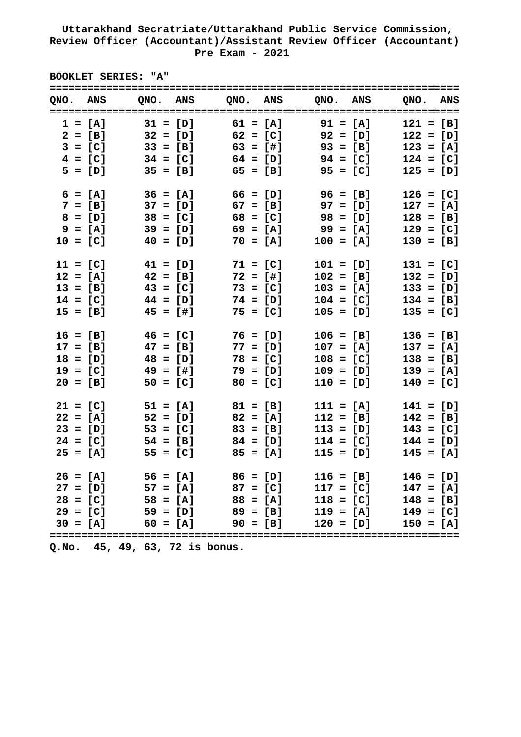**BOOKLET SERIES: "A"**

| QNO. ANS |            |                                            |            |            |            |                     |             | QNO. ANS QNO. ANS QNO. ANS QNO. ANS |  |
|----------|------------|--------------------------------------------|------------|------------|------------|---------------------|-------------|-------------------------------------|--|
|          | $1 = [A]$  | $31 = [D]$                                 |            | $61 = [A]$ |            | $91 = [A]$          |             | $121 = [B]$                         |  |
|          |            | $2 = [B]$ $32 = [D]$ $62 = [C]$ $92 = [D]$ |            |            |            |                     |             | $122 = [D]$                         |  |
|          | $3 = [C]$  | $33 = [B]$                                 |            |            |            | $63 = [1]$ 93 = [B] |             | $123 = [A]$                         |  |
|          |            | $4 = [C]$ $34 = [C]$ $64 = [D]$            |            |            |            | $94 = [C]$          |             | $124 = [C]$                         |  |
|          |            | $5 = [D]$                                  | $35 = [B]$ |            |            | $65 = [B]$ 95 = [C] |             | $125 = [D]$                         |  |
|          | $6 = [A]$  |                                            | $36 = [A]$ |            | $66 = [D]$ |                     | $96 = [B]$  | $126 = [C]$                         |  |
|          | $7 = [B]$  |                                            | $37 = [D]$ |            | $67 = [B]$ |                     | 97 = [D]    | $127 = [A]$                         |  |
|          | $8 = [D]$  |                                            | $38 = [C]$ |            | $68 = [C]$ |                     | $98 = [D]$  | $128 = [B]$                         |  |
|          | $9 = [A]$  |                                            | $39 = [D]$ |            | $69 = [A]$ |                     | $99 = [A]$  | $129 = [C]$                         |  |
|          | $10 = [C]$ |                                            | $40 = [D]$ |            | $70 = [A]$ |                     | $100 = [A]$ | $130 = [B]$                         |  |
|          | $11 = [C]$ |                                            | $41 = [D]$ |            | $71 = [C]$ | $101 = [D]$         |             | $131 = [C]$                         |  |
|          | $12 = [A]$ |                                            | $42 = [B]$ |            | $72 = [1]$ |                     | $102 = [B]$ | $132 = [D]$                         |  |
|          | $13 = [B]$ |                                            | $43 = [C]$ |            | $73 = [C]$ |                     | $103 = [A]$ | $133 = [D]$                         |  |
|          | $14 = [C]$ |                                            | $44 = [D]$ |            | $74 = [D]$ |                     | $104 = [C]$ | $134 = [B]$                         |  |
|          | $15 = [B]$ |                                            | $45 = [1]$ |            | $75 = [C]$ | $105 = [D]$         |             | $135 = [C]$                         |  |
|          | $16 = [B]$ |                                            | $46 = [C]$ |            | $76 = [D]$ | $106 = [B]$         |             | $136 = [B]$                         |  |
|          | $17 = [B]$ |                                            | $47 = [B]$ |            | $77 = [D]$ | $107 = [A]$         |             | $137 = [A]$                         |  |
|          | $18 = [D]$ |                                            | $48 = [D]$ |            | $78 = [C]$ | $108 = [C]$         |             | $138 = [B]$                         |  |
|          | $19 = [C]$ |                                            | $49 = [1]$ |            | $79 = [D]$ |                     | $109 = [D]$ | $139 = [A]$                         |  |
|          | $20 = [B]$ |                                            | $50 = [C]$ |            | $80 = [C]$ | $110 = [D]$         |             | $140 = [C]$                         |  |
|          | $21 = [C]$ |                                            | $51 = [A]$ | $81 = [B]$ |            | $111 = [A]$         |             | $141 = [D]$                         |  |
|          | $22 = [A]$ |                                            | $52 = [D]$ | $82 = [A]$ |            |                     | $112 = [B]$ | $142 = [B]$                         |  |
|          | $23 = [D]$ |                                            | $53 = [C]$ | $83 = [B]$ |            |                     | $113 = [D]$ | $143 = [C]$                         |  |
|          | $24 = [C]$ |                                            | $54 = [B]$ | $84 = [D]$ |            |                     | $114 = [C]$ | $144 = [D]$                         |  |
|          | $25 = [A]$ |                                            | $55 = [C]$ |            | $85 = [A]$ |                     | $115 = [D]$ | $145 = [A]$                         |  |
|          | $26 = [A]$ | $56 = [A]$                                 |            | $86 = [D]$ |            |                     | $116 = [B]$ | $146 = [D]$                         |  |
|          | $27 = [D]$ | $57 = [A]$                                 |            | $87 = [C]$ |            |                     | $117 = [C]$ | $147 = [A]$                         |  |
|          | $28 = [C]$ | $58 = [A]$                                 |            | $88 = [A]$ |            |                     | $118 = [C]$ | $148 = [B]$                         |  |
|          | $29 = [C]$ | $59 = [D]$                                 |            | $89 = [B]$ |            |                     | $119 = [A]$ | $149 = [C]$                         |  |
|          | $30 = [A]$ |                                            | $60 = [A]$ |            | $90 = [B]$ |                     | $120 = [D]$ | $150 = [A]$                         |  |
|          |            |                                            |            |            |            |                     |             |                                     |  |

**Q.No. 45, 49, 63, 72 is bonus.**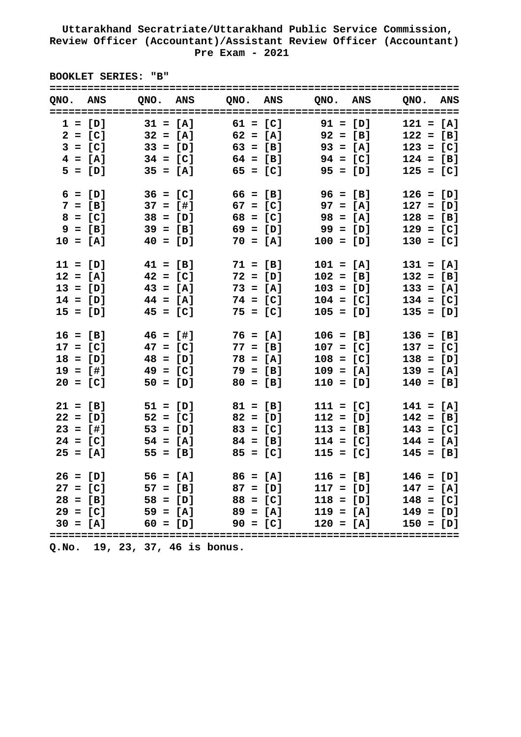**BOOKLET SERIES: "B"**

|  | QNO. ANS   |                                            |            |            |            |                                  |             | QNO. ANS QNO. ANS QNO. ANS QNO. ANS |  |
|--|------------|--------------------------------------------|------------|------------|------------|----------------------------------|-------------|-------------------------------------|--|
|  | $1 = [D]$  |                                            |            |            |            | $31 = [A]$ $61 = [C]$ $91 = [D]$ |             | $121 = [A]$                         |  |
|  |            | $2 = [C]$ $32 = [A]$ $62 = [A]$ $92 = [B]$ |            |            |            |                                  |             | $122 = [B]$                         |  |
|  |            | $3 = [C]$ $33 = [D]$ $63 = [B]$ $93 = [A]$ |            |            |            |                                  |             | $123 = [C]$                         |  |
|  |            | $4 = [A]$ $34 = [C]$ $64 = [B]$            |            |            |            | $94 = [C]$                       |             | $124 = [B]$                         |  |
|  |            | $5 = [D]$                                  |            |            |            | $35 = [A]$ $65 = [C]$ $95 = [D]$ |             | $125 = [C]$                         |  |
|  | $6 = [D]$  |                                            | $36 = [C]$ |            | $66 = [B]$ |                                  | $96 = [B]$  | $126 = [D]$                         |  |
|  | $7 = [B]$  |                                            | $37 = [1]$ | $67 = [C]$ |            |                                  | $97 = [A]$  | $127 = [D]$                         |  |
|  | $8 = [C]$  |                                            | $38 = [D]$ |            | $68 = [C]$ |                                  | $98 = [A]$  | $128 = [B]$                         |  |
|  | $9 = [B]$  |                                            | $39 = [B]$ |            | $69 = [D]$ |                                  | $99 = [D]$  | $129 = [C]$                         |  |
|  | $10 = [A]$ |                                            | $40 = [D]$ |            | $70 = [A]$ |                                  | $100 = [D]$ | $130 = [C]$                         |  |
|  | $11 = [D]$ |                                            | $41 = [B]$ |            | $71 = [B]$ |                                  | $101 = [A]$ | $131 = [A]$                         |  |
|  | $12 = [A]$ |                                            | $42 = [C]$ |            | $72 = [D]$ |                                  | $102 = [B]$ | $132 = [B]$                         |  |
|  | $13 = [D]$ |                                            | $43 = [A]$ |            | $73 = [A]$ |                                  | $103 = [D]$ | $133 = [A]$                         |  |
|  | $14 = [D]$ |                                            | $44 = [A]$ |            | $74 = [C]$ |                                  | $104 = [C]$ | $134 = [C]$                         |  |
|  | $15 = [D]$ |                                            | $45 = [C]$ |            | $75 = [C]$ |                                  | $105 = [D]$ | $135 = [D]$                         |  |
|  | $16 = [B]$ |                                            | $46 = [1]$ |            | $76 = [A]$ | $106 = [B]$                      |             | $136 = [B]$                         |  |
|  | $17 = [C]$ |                                            | $47 = [C]$ |            | $77 = [B]$ |                                  | $107 = [C]$ | $137 = [C]$                         |  |
|  | $18 = [D]$ |                                            | $48 = [D]$ |            | $78 = [A]$ |                                  | $108 = [C]$ | $138 = [D]$                         |  |
|  | $19 = [1]$ |                                            | $49 = [C]$ |            | $79 = [B]$ |                                  | $109 = [A]$ | $139 = [A]$                         |  |
|  | $20 = [C]$ |                                            | $50 = [D]$ |            | $80 = [B]$ |                                  | $110 = [D]$ | $140 = [B]$                         |  |
|  | $21 = [B]$ |                                            | $51 = [D]$ | $81 = [B]$ |            |                                  | $111 = [C]$ | $141 = [A]$                         |  |
|  | $22 = [D]$ |                                            | $52 = [C]$ | $82 = [D]$ |            |                                  | $112 = [D]$ | $142 = [B]$                         |  |
|  | $23 = [1]$ |                                            | $53 = [D]$ | $83 = [C]$ |            |                                  | $113 = [B]$ | $143 = [C]$                         |  |
|  | $24 = [C]$ |                                            | $54 = [A]$ | $84 = [B]$ |            |                                  | $114 = [C]$ | $144 = [A]$                         |  |
|  | $25 = [A]$ |                                            | $55 = [B]$ |            | $85 = [C]$ |                                  | $115 = [C]$ | $145 = [B]$                         |  |
|  | $26 = [D]$ | $56 = [A]$                                 |            | $86 = [A]$ |            |                                  | $116 = [B]$ | $146 = [D]$                         |  |
|  | $27 = [C]$ | $57 = [B]$                                 |            | $87 = [D]$ |            |                                  | $117 = [D]$ | $147 = [A]$                         |  |
|  | $28 = [B]$ | $58 = [D]$                                 |            | $88 = [C]$ |            |                                  | $118 = [D]$ | $148 = [C]$                         |  |
|  | $29 = [C]$ | $59 = [A]$                                 |            | $89 = [A]$ |            |                                  | $119 = [A]$ | $149 = [D]$                         |  |
|  | $30 = [A]$ |                                            | $60 = [D]$ |            | $90 = [C]$ |                                  | $120 = [A]$ | $150 = [D]$                         |  |
|  |            |                                            |            |            |            |                                  |             |                                     |  |

**Q.No. 19, 23, 37, 46 is bonus.**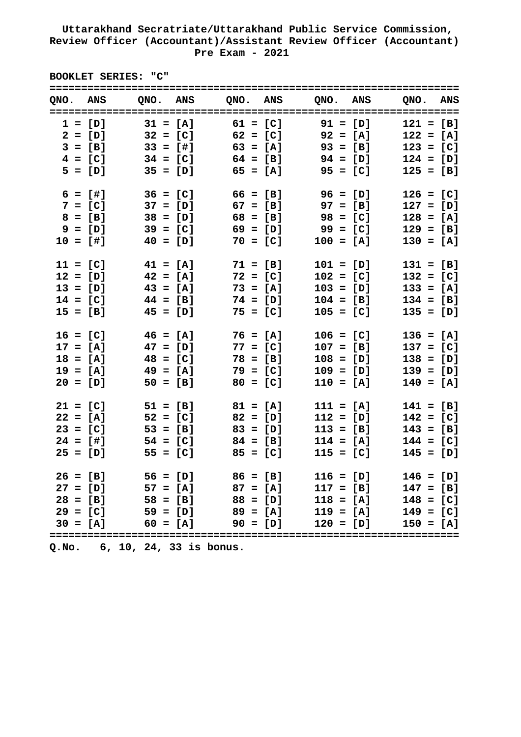**BOOKLET SERIES: "C"**

| QNO. ANS |            |                                            |            |            |            |                                  |             | QNO. ANS QNO. ANS QNO. ANS QNO. ANS |  |
|----------|------------|--------------------------------------------|------------|------------|------------|----------------------------------|-------------|-------------------------------------|--|
|          | $1 = [D]$  | $31 = [A]$                                 |            |            |            | $61 = [C]$ $91 = [D]$            |             | $121 = [B]$                         |  |
|          |            | $2 = [D]$ $32 = [C]$ $62 = [C]$ $92 = [A]$ |            |            |            |                                  |             | $122 = [A]$                         |  |
|          |            | $3 = [B]$ $33 = [H]$ $63 = [A]$ $93 = [B]$ |            |            |            |                                  |             | $123 = [C]$                         |  |
|          |            | $4 = [C]$ $34 = [C]$ $64 = [B]$            |            |            |            | $94 = [D]$                       |             | $124 = [D]$                         |  |
|          |            | $5 = [D]$                                  |            |            |            | $35 = [D]$ $65 = [A]$ $95 = [C]$ |             | $125 = [B]$                         |  |
|          | $6 = [1]$  |                                            | $36 = [C]$ |            | $66 = [B]$ |                                  | $96 = [D]$  | $126 = [C]$                         |  |
|          | $7 = [C]$  |                                            | $37 = [D]$ |            | $67 = [B]$ |                                  | $97 = [B]$  | $127 = [D]$                         |  |
|          | $8 = [B]$  |                                            | $38 = [D]$ |            | $68 = [B]$ |                                  | $98 = [C]$  | $128 = [A]$                         |  |
|          | $9 = [D]$  |                                            | $39 = [C]$ |            | $69 = [D]$ |                                  | $99 = [C]$  | $129 = [B]$                         |  |
|          | $10 = [#]$ | $40 = [D]$                                 |            |            | $70 = [C]$ |                                  | $100 = [A]$ | $130 = [A]$                         |  |
|          | $11 = [C]$ |                                            | $41 = [A]$ |            | $71 = [B]$ |                                  | $101 = [D]$ | $131 = [B]$                         |  |
|          | $12 = [D]$ | $42 = [A]$                                 |            |            | $72 = [C]$ |                                  | $102 = [C]$ | $132 = [C]$                         |  |
|          | $13 = [D]$ | $43 = [A]$                                 |            |            | $73 = [A]$ |                                  | $103 = [D]$ | $133 = [A]$                         |  |
|          | $14 = [C]$ | $44 = [B]$                                 |            |            | $74 = [D]$ |                                  | $104 = [B]$ | $134 = [B]$                         |  |
|          | $15 = [B]$ |                                            | $45 = [D]$ |            | $75 = [C]$ | $105 = [C]$                      |             | $135 = [D]$                         |  |
|          | $16 = [C]$ | $46 = [A]$                                 |            |            | $76 = [A]$ | $106 = [C]$                      |             | $136 = [A]$                         |  |
|          | $17 = [A]$ |                                            | $47 = [D]$ |            | $77 = [C]$ |                                  | $107 = [B]$ | $137 = [C]$                         |  |
|          | $18 = [A]$ |                                            | $48 = [C]$ |            | $78 = [B]$ |                                  | $108 = [D]$ | $138 = [D]$                         |  |
|          | $19 = [A]$ | $49 = [A]$                                 |            |            | $79 = [C]$ |                                  | $109 = [D]$ | $139 = [D]$                         |  |
|          | $20 = [D]$ |                                            | $50 = [B]$ |            | $80 = [C]$ |                                  | $110 = [A]$ | $140 = [A]$                         |  |
|          | $21 = [C]$ | $51 = [B]$                                 |            | $81 = [A]$ |            |                                  | $111 = [A]$ | $141 = [B]$                         |  |
|          | $22 = [A]$ | $52 = [C]$                                 |            | $82 = [D]$ |            |                                  | $112 = [D]$ | $142 = [C]$                         |  |
|          | $23 = [C]$ | $53 = [B]$                                 |            | $83 = [D]$ |            |                                  | $113 = [B]$ | $143 = [B]$                         |  |
|          | $24 = [1]$ | $54 = [C]$                                 |            | $84 = [B]$ |            |                                  | $114 = [A]$ | $144 = [C]$                         |  |
|          | $25 = [D]$ |                                            | $55 = [C]$ |            | $85 = [C]$ |                                  | $115 = [C]$ | $145 = [D]$                         |  |
|          | $26 = [B]$ | $56 = [D]$                                 |            | $86 = [B]$ |            |                                  | $116 = [D]$ | $146 = [D]$                         |  |
|          | $27 = [D]$ | $57 = [A]$                                 |            | $87 = [A]$ |            |                                  | $117 = [B]$ | $147 = [B]$                         |  |
|          | $28 = [B]$ | $58 = [B]$                                 |            |            | $88 = [D]$ |                                  | $118 = [A]$ | $148 = [C]$                         |  |
|          | $29 = [C]$ | $59 = [D]$                                 |            |            | $89 = [A]$ |                                  | $119 = [A]$ | $149 = [C]$                         |  |
|          | $30 = [A]$ | $60 = [A]$                                 |            |            | [D] = 90   |                                  | $120 = [D]$ | $150 = [A]$                         |  |
|          |            |                                            |            |            |            |                                  |             |                                     |  |

**Q.No. 6, 10, 24, 33 is bonus.**